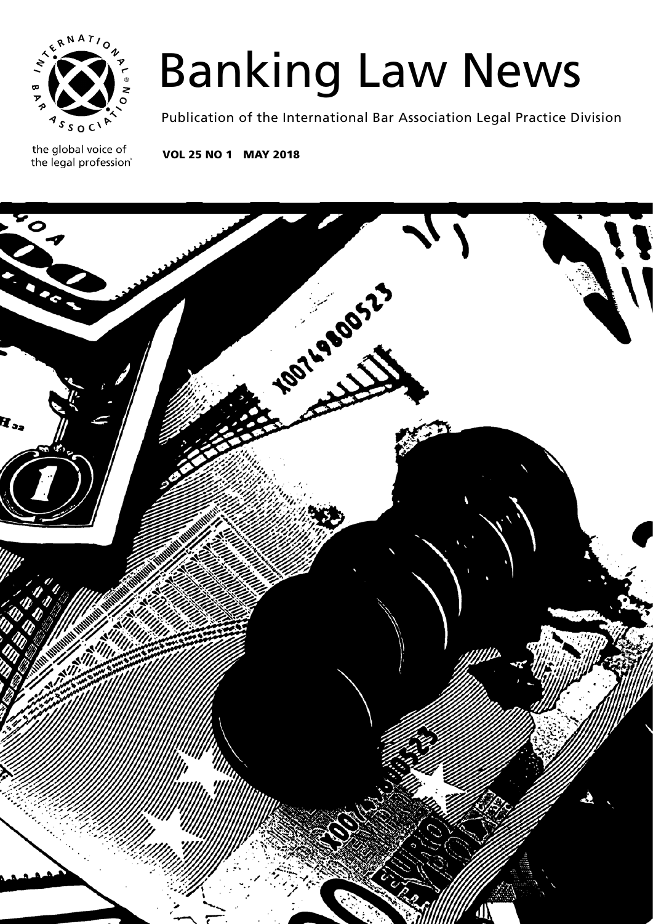

# Banking Law News

Publication of the International Bar Association Legal Practice Division

the global voice of the legal profession®

VOL 25 NO 1 MAY 2018

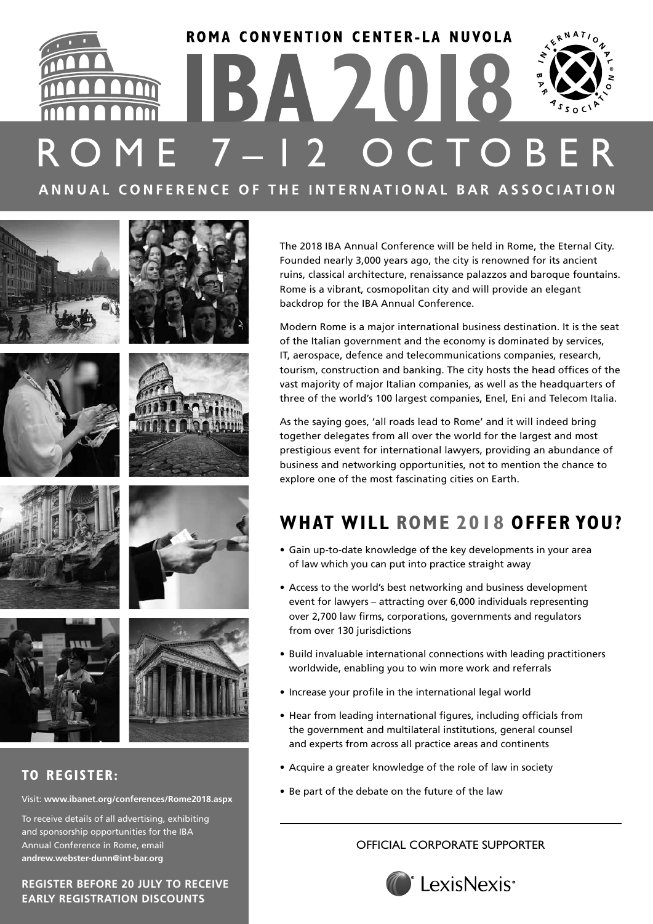# ROMA CONVENTION CENTER-LA NUVOLA 1BA 2018 OME 7-12 OCTOBE ANNUAL CONFERENCE OF THE INTERNATIONAL BAR ASSOCIATION



# **TO REGISTER:**

## Visit: **www.ibanet.org/conferences/Rome2018.aspx**

To receive details of all advertising, exhibiting and sponsorship opportunities for the IBA Annual Conference in Rome, email **andrew.webster-dunn@int-bar.org**

**REGISTER BEFORE 20 JULY TO RECEIVE EARLY REGISTRATION DISCOUNTS**

The 2018 IBA Annual Conference will be held in Rome, the Eternal City. Founded nearly 3,000 years ago, the city is renowned for its ancient ruins, classical architecture, renaissance palazzos and baroque fountains. Rome is a vibrant, cosmopolitan city and will provide an elegant backdrop for the IBA Annual Conference.

Modern Rome is a major international business destination. It is the seat of the Italian government and the economy is dominated by services, IT, aerospace, defence and telecommunications companies, research, tourism, construction and banking. The city hosts the head offices of the vast majority of major Italian companies, as well as the headquarters of three of the world's 100 largest companies, Enel, Eni and Telecom Italia.

As the saying goes, 'all roads lead to Rome' and it will indeed bring together delegates from all over the world for the largest and most prestigious event for international lawyers, providing an abundance of business and networking opportunities, not to mention the chance to explore one of the most fascinating cities on Earth.

# **WHAT WILL ROME 2018 OFFER YOU?**

- Gain up-to-date knowledge of the key developments in your area of law which you can put into practice straight away
- Access to the world's best networking and business development event for lawyers – attracting over 6,000 individuals representing over 2,700 law firms, corporations, governments and regulators from over 130 jurisdictions
- Build invaluable international connections with leading practitioners worldwide, enabling you to win more work and referrals
- Increase your profile in the international legal world
- Hear from leading international figures, including officials from the government and multilateral institutions, general counsel and experts from across all practice areas and continents
- Acquire a greater knowledge of the role of law in society
- Be part of the debate on the future of the law

# OFFICIAL CORPORATE SUPPORTER







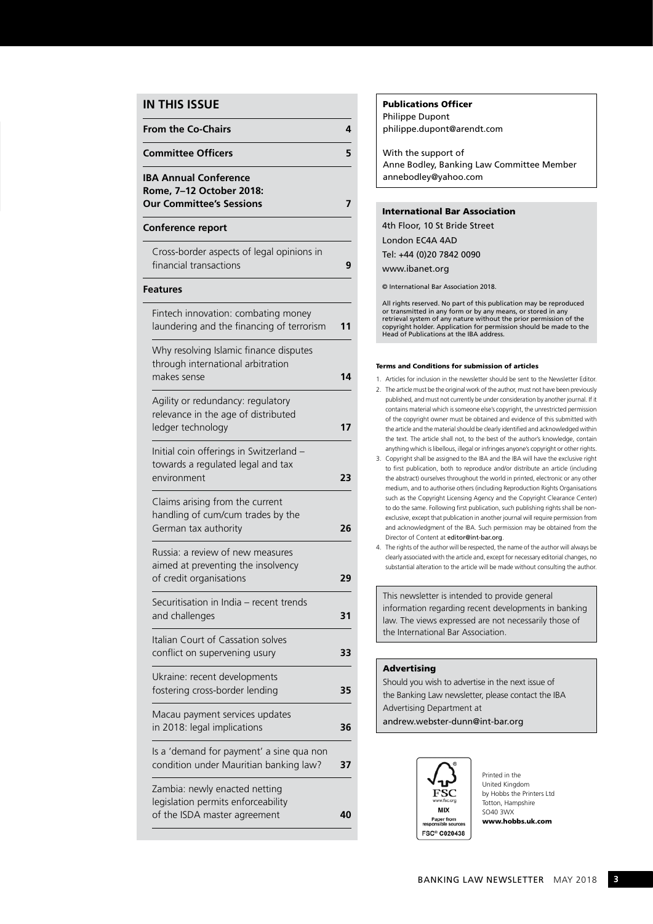## **IN THIS ISSUE**

| <b>From the Co-Chairs</b>                                                                           | 4  |
|-----------------------------------------------------------------------------------------------------|----|
| <b>Committee Officers</b>                                                                           | 5  |
| <b>IBA Annual Conference</b><br>Rome, 7-12 October 2018:<br><b>Our Committee's Sessions</b>         | 7  |
| Conference report                                                                                   |    |
| Cross-border aspects of legal opinions in<br>financial transactions                                 | 9  |
| <b>Features</b>                                                                                     |    |
| Fintech innovation: combating money<br>laundering and the financing of terrorism                    | 11 |
| Why resolving Islamic finance disputes<br>through international arbitration<br>makes sense          | 14 |
| Agility or redundancy: regulatory<br>relevance in the age of distributed<br>ledger technology       | 17 |
| Initial coin offerings in Switzerland -<br>towards a regulated legal and tax<br>environment         | 23 |
| Claims arising from the current<br>handling of cum/cum trades by the<br>German tax authority        | 26 |
| Russia: a review of new measures<br>aimed at preventing the insolvency<br>of credit organisations   | 29 |
| Securitisation in India - recent trends<br>and challenges                                           | 31 |
| Italian Court of Cassation solves<br>conflict on supervening usury                                  | 33 |
| Ukraine: recent developments<br>fostering cross-border lending                                      | 35 |
| Macau payment services updates<br>in 2018: legal implications                                       | 36 |
| Is a 'demand for payment' a sine qua non<br>condition under Mauritian banking law?                  | 37 |
| Zambia: newly enacted netting<br>legislation permits enforceability<br>of the ISDA master agreement | 40 |

### Publications Officer

Philippe Dupont philippe.dupont@arendt.com

With the support of Anne Bodley, Banking Law Committee Member annebodley@yahoo.com

### International Bar Association

4th Floor, 10 St Bride Street London EC4A 4AD Tel: +44 (0)20 7842 0090 www.ibanet.org

© International Bar Association 2018.

All rights reserved. No part of this publication may be reproduced or transmitted in any form or by any means, or stored in any retrieval system of any nature without the prior permission of the copyright holder. Application for permission should be made to the Head of Publications at the IBA address.

#### Terms and Conditions for submission of articles

- 1. Articles for inclusion in the newsletter should be sent to the Newsletter Editor. 2. The article must be the original work of the author, must not have been previously published, and must not currently be under consideration by another journal. If it contains material which is someone else's copyright, the unrestricted permission of the copyright owner must be obtained and evidence of this submitted with the article and the material should be clearly identified and acknowledged within the text. The article shall not, to the best of the author's knowledge, contain anything which is libellous, illegal or infringes anyone's copyright or other rights.
- 3. Copyright shall be assigned to the IBA and the IBA will have the exclusive right to first publication, both to reproduce and/or distribute an article (including the abstract) ourselves throughout the world in printed, electronic or any other medium, and to authorise others (including Reproduction Rights Organisations such as the Copyright Licensing Agency and the Copyright Clearance Center) to do the same. Following first publication, such publishing rights shall be nonexclusive, except that publication in another journal will require permission from and acknowledgment of the IBA. Such permission may be obtained from the Director of Content at editor@int-bar.org.
- 4. The rights of the author will be respected, the name of the author will always be clearly associated with the article and, except for necessary editorial changes, no substantial alteration to the article will be made without consulting the author.

This newsletter is intended to provide general information regarding recent developments in banking law. The views expressed are not necessarily those of the International Bar Association.

### Advertising

Should you wish to advertise in the next issue of the Banking Law newsletter, please contact the IBA Advertising Department at andrew.webster-dunn@int-bar.org



Printed in the United Kingdom by Hobbs the Printers Ltd Totton, Hampshire SO40 3WX www.hobbs.uk.com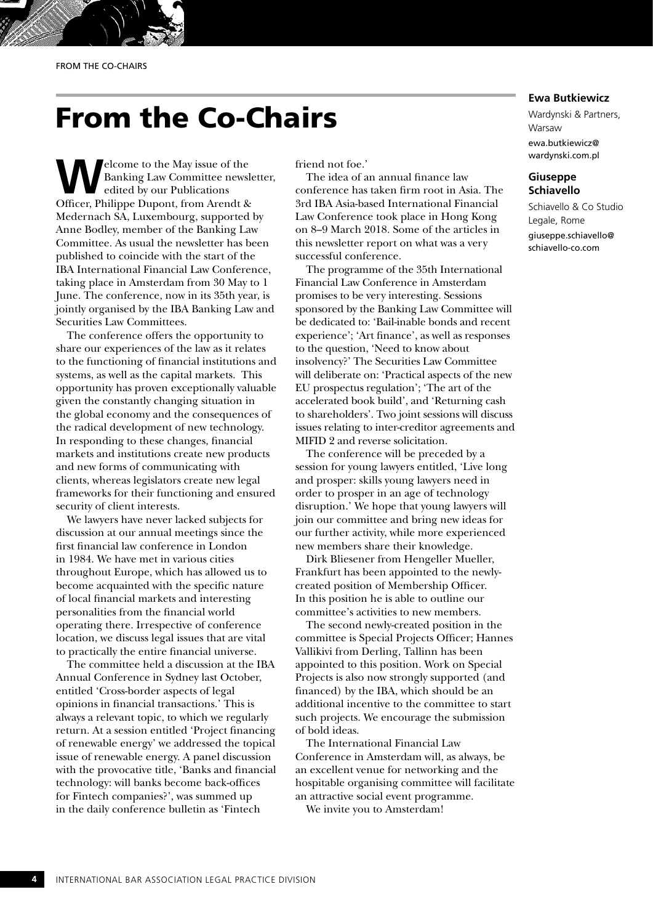# From the Co-Chairs

**Welcome to the May issue of the Banking Law Committee newsl<br>edited by our Publications<br>Officer Philippe Dynant, from Arendt 8:** Banking Law Committee newsletter, edited by our Publications Officer, Philippe Dupont, from Arendt & Medernach SA, Luxembourg, supported by Anne Bodley, member of the Banking Law Committee. As usual the newsletter has been published to coincide with the start of the IBA International Financial Law Conference, taking place in Amsterdam from 30 May to 1 June. The conference, now in its 35th year, is jointly organised by the IBA Banking Law and Securities Law Committees.

The conference offers the opportunity to share our experiences of the law as it relates to the functioning of financial institutions and systems, as well as the capital markets. This opportunity has proven exceptionally valuable given the constantly changing situation in the global economy and the consequences of the radical development of new technology. In responding to these changes, financial markets and institutions create new products and new forms of communicating with clients, whereas legislators create new legal frameworks for their functioning and ensured security of client interests.

We lawyers have never lacked subjects for discussion at our annual meetings since the first financial law conference in London in 1984. We have met in various cities throughout Europe, which has allowed us to become acquainted with the specific nature of local financial markets and interesting personalities from the financial world operating there. Irrespective of conference location, we discuss legal issues that are vital to practically the entire financial universe.

The committee held a discussion at the IBA Annual Conference in Sydney last October, entitled 'Cross-border aspects of legal opinions in financial transactions.' This is always a relevant topic, to which we regularly return. At a session entitled 'Project financing of renewable energy' we addressed the topical issue of renewable energy. A panel discussion with the provocative title, 'Banks and financial technology: will banks become back-offices for Fintech companies?', was summed up in the daily conference bulletin as 'Fintech

friend not foe.'

The idea of an annual finance law conference has taken firm root in Asia. The 3rd IBA Asia-based International Financial Law Conference took place in Hong Kong on 8–9 March 2018. Some of the articles in this newsletter report on what was a very successful conference.

The programme of the 35th International Financial Law Conference in Amsterdam promises to be very interesting. Sessions sponsored by the Banking Law Committee will be dedicated to: 'Bail-inable bonds and recent experience'; 'Art finance', as well as responses to the question, 'Need to know about insolvency?' The Securities Law Committee will deliberate on: 'Practical aspects of the new EU prospectus regulation'; 'The art of the accelerated book build', and 'Returning cash to shareholders'. Two joint sessions will discuss issues relating to inter-creditor agreements and MIFID 2 and reverse solicitation.

The conference will be preceded by a session for young lawyers entitled, 'Live long and prosper: skills young lawyers need in order to prosper in an age of technology disruption.' We hope that young lawyers will join our committee and bring new ideas for our further activity, while more experienced new members share their knowledge.

Dirk Bliesener from Hengeller Mueller, Frankfurt has been appointed to the newlycreated position of Membership Officer. In this position he is able to outline our committee's activities to new members.

The second newly-created position in the committee is Special Projects Officer; Hannes Vallikivi from Derling, Tallinn has been appointed to this position. Work on Special Projects is also now strongly supported (and financed) by the IBA, which should be an additional incentive to the committee to start such projects. We encourage the submission of bold ideas.

The International Financial Law Conference in Amsterdam will, as always, be an excellent venue for networking and the hospitable organising committee will facilitate an attractive social event programme.

We invite you to Amsterdam!

# **Ewa Butkiewicz**

Wardynski & Partners, Warsaw ewa.butkiewicz@ wardynski.com.pl

# **Giuseppe Schiavello**

Schiavello & Co Studio Legale, Rome giuseppe.schiavello@ schiavello-co.com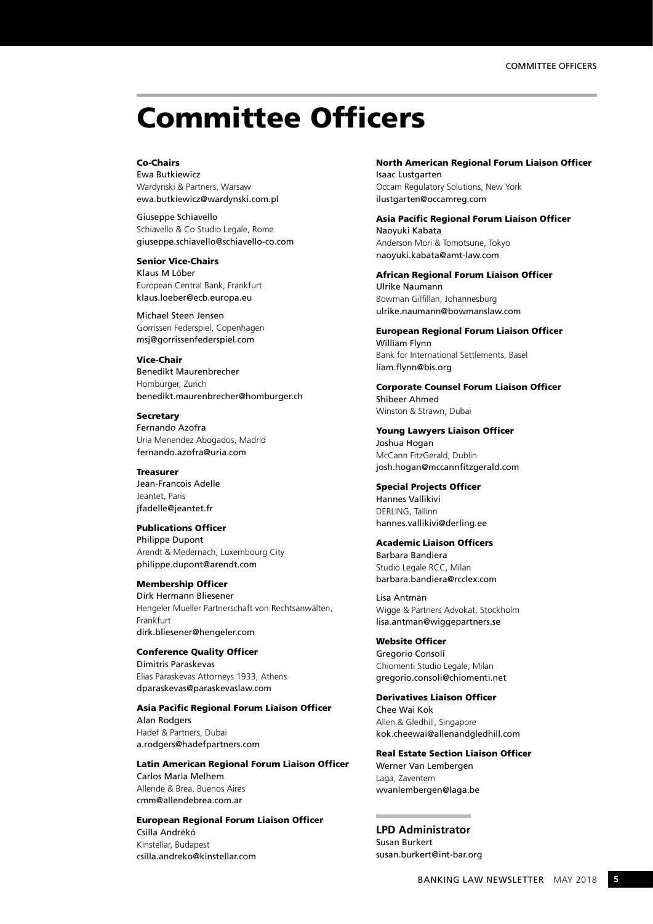# Committee Officers

### Co-Chairs

Ewa Butkiewicz Wardynski & Partners, Warsaw ewa.butkiewicz@wardynski.com.pl

Giuseppe Schiavello Schiavello & Co Studio Legale, Rome giuseppe.schiavello@schiavello-co.com

#### Senior Vice-Chairs

Klaus M Löber European Central Bank, Frankfurt klaus.loeber@ecb.europa.eu

Michael Steen Jensen Gorrissen Federspiel, Copenhagen msj@gorrissenfederspiel.com

Vice-Chair Benedikt Maurenbrecher Homburger, Zurich benedikt.maurenbrecher@homburger.ch

### **Secretary**

Fernando Azofra Uria Menendez Abogados, Madrid fernando.azofra@uria.com

Treasurer Jean-Francois Adelle

Jeantet, Paris jfadelle@jeantet.fr

### Publications Officer

Philippe Dupont Arendt & Medernach, Luxembourg City philippe.dupont@arendt.com

### Membership Officer

Dirk Hermann Bliesener Hengeler Mueller Partnerschaft von Rechtsanwälten, Frankfurt dirk.bliesener@hengeler.com

### Conference Quality Officer

Dimitris Paraskevas Elias Paraskevas Attorneys 1933, Athens dparaskevas@paraskevaslaw.com

### Asia Pacific Regional Forum Liaison Officer

Alan Rodgers Hadef & Partners, Dubai a.rodgers@hadefpartners.com

Latin American Regional Forum Liaison Officer Carlos Maria Melhem Allende & Brea, Buenos Aires

cmm@allendebrea.com.ar

# European Regional Forum Liaison Officer

Csilla Andrékó Kinstellar, Budapest csilla.andreko@kinstellar.com

# North American Regional Forum Liaison Officer

Isaac Lustgarten Occam Regulatory Solutions, New York ilustgarten@occamreg.com

Asia Pacific Regional Forum Liaison Officer Naoyuki Kabata Anderson Mori & Tomotsune, Tokyo naoyuki.kabata@amt-law.com

African Regional Forum Liaison Officer Ulrike Naumann Bowman Gilfillan, Johannesburg ulrike.naumann@bowmanslaw.com

European Regional Forum Liaison Officer William Flynn

Bank for International Settlements, Basel liam.flynn@bis.org

Corporate Counsel Forum Liaison Officer Shibeer Ahmed Winston & Strawn, Dubai

Young Lawyers Liaison Officer Joshua Hogan McCann FitzGerald, Dublin josh.hogan@mccannfitzgerald.com

Special Projects Officer

Hannes Vallikivi DERLING, Tallinn hannes.vallikivi@derling.ee

### Academic Liaison Officers

Barbara Bandiera Studio Legale RCC, Milan barbara.bandiera@rcclex.com

Lisa Antman Wigge & Partners Advokat, Stockholm lisa.antman@wiggepartners.se

Website Officer

Gregorio Consoli Chiomenti Studio Legale, Milan gregorio.consoli@chiomenti.net

Derivatives Liaison Officer

Chee Wai Kok Allen & Gledhill, Singapore kok.cheewai@allenandgledhill.com

Real Estate Section Liaison Officer

Werner Van Lembergen Laga, Zaventem wvanlembergen@laga.be

**LPD Administrator** Susan Burkert susan.burkert@int-bar.org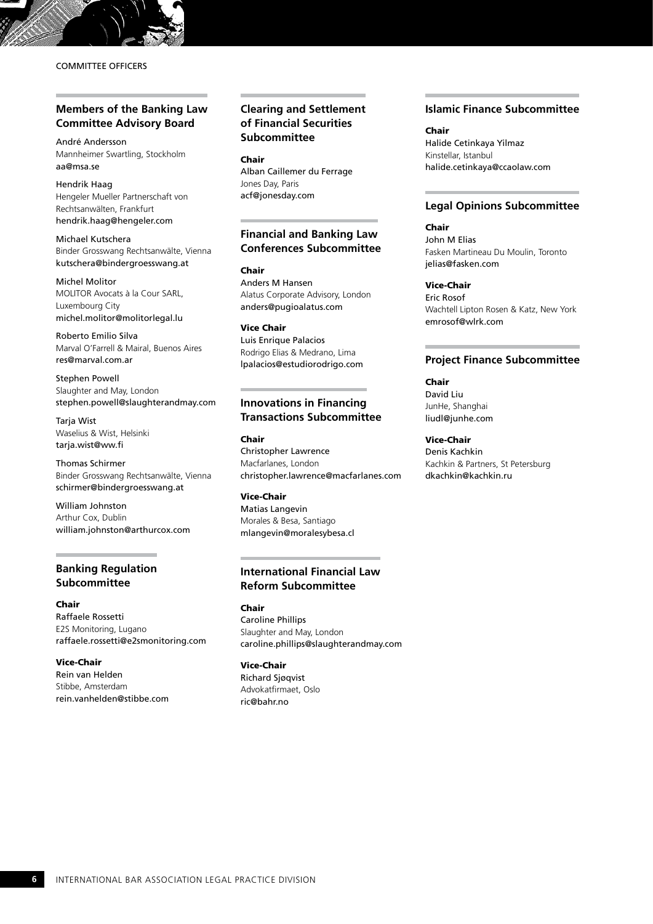## COMMITTEE OFFICERS

# **Members of the Banking Law Committee Advisory Board**

André Andersson Mannheimer Swartling, Stockholm aa@msa.se

Hendrik Haag Hengeler Mueller Partnerschaft von Rechtsanwälten, Frankfurt hendrik.haag@hengeler.com

Michael Kutschera Binder Grosswang Rechtsanwälte, Vienna kutschera@bindergroesswang.at

Michel Molitor MOLITOR Avocats à la Cour SARL, Luxembourg City michel.molitor@molitorlegal.lu

Roberto Emilio Silva Marval O'Farrell & Mairal, Buenos Aires res@marval.com.ar

Stephen Powell Slaughter and May, London stephen.powell@slaughterandmay.com

**Taria Wist** Waselius & Wist, Helsinki tarja.wist@ww.fi

Thomas Schirmer Binder Grosswang Rechtsanwälte, Vienna schirmer@bindergroesswang.at

William Johnston Arthur Cox, Dublin william.johnston@arthurcox.com

# **Banking Regulation Subcommittee**

Chair Raffaele Rossetti E2S Monitoring, Lugano raffaele.rossetti@e2smonitoring.com

Vice-Chair Rein van Helden Stibbe, Amsterdam rein.vanhelden@stibbe.com

# **Clearing and Settlement of Financial Securities Subcommittee**

Chair

Alban Caillemer du Ferrage Jones Day, Paris acf@jonesday.com

# **Financial and Banking Law Conferences Subcommittee**

Chair Anders M Hansen Alatus Corporate Advisory, London anders@pugioalatus.com

Vice Chair Luis Enrique Palacios Rodrigo Elias & Medrano, Lima lpalacios@estudiorodrigo.com

# **Innovations in Financing Transactions Subcommittee**

Chair Christopher Lawrence Macfarlanes, London christopher.lawrence@macfarlanes.com

Vice-Chair Matias Langevin Morales & Besa, Santiago mlangevin@moralesybesa.cl

# **International Financial Law Reform Subcommittee**

Chair Caroline Phillips Slaughter and May, London caroline.phillips@slaughterandmay.com

Vice-Chair Richard Sjøqvist Advokatfirmaet, Oslo ric@bahr.no

## **Islamic Finance Subcommittee**

Chair Halide Cetinkaya Yilmaz Kinstellar, Istanbul halide.cetinkaya@ccaolaw.com

### **Legal Opinions Subcommittee**

Chair

John M Elias Fasken Martineau Du Moulin, Toronto jelias@fasken.com

Vice-Chair Eric Rosof Wachtell Lipton Rosen & Katz, New York emrosof@wlrk.com

### **Project Finance Subcommittee**

Chair David Liu JunHe, Shanghai liudl@junhe.com

Vice-Chair Denis Kachkin Kachkin & Partners, St Petersburg dkachkin@kachkin.ru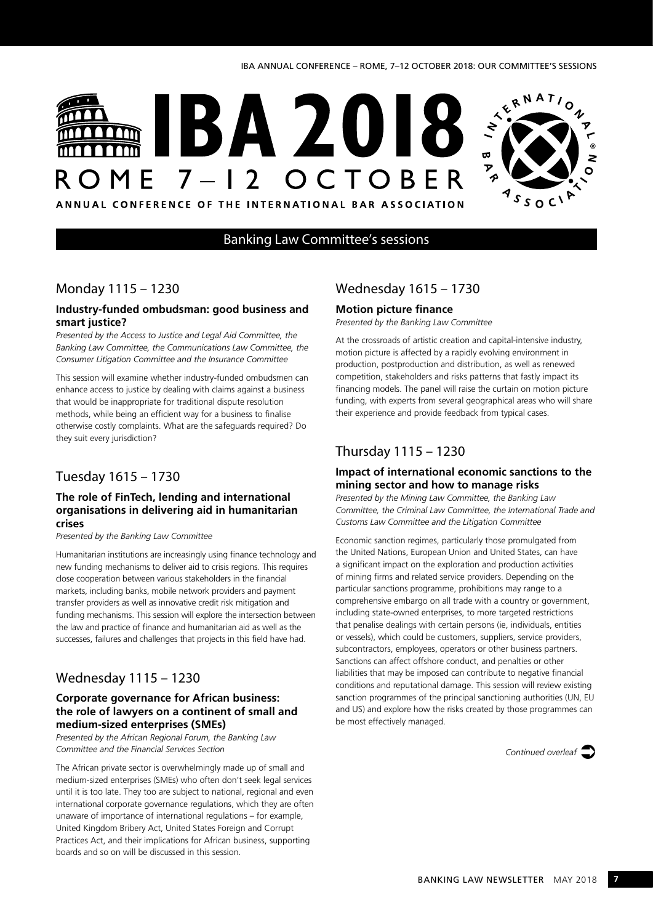# **BA20** OME 7-12 OCTOBE



ANNUAL CONFERENCE OF THE INTERNATIONAL BAR ASSOCIATION

# Banking Law Committee's sessions

# Monday 1115 – 1230

### **Industry-funded ombudsman: good business and smart justice?**

*Presented by the Access to Justice and Legal Aid Committee, the Banking Law Committee, the Communications Law Committee, the Consumer Litigation Committee and the Insurance Committee*

This session will examine whether industry-funded ombudsmen can enhance access to justice by dealing with claims against a business that would be inappropriate for traditional dispute resolution methods, while being an efficient way for a business to finalise otherwise costly complaints. What are the safeguards required? Do they suit every jurisdiction?

# Tuesday 1615 – 1730

## **The role of FinTech, lending and international organisations in delivering aid in humanitarian crises**

*Presented by the Banking Law Committee*

Humanitarian institutions are increasingly using finance technology and new funding mechanisms to deliver aid to crisis regions. This requires close cooperation between various stakeholders in the financial markets, including banks, mobile network providers and payment transfer providers as well as innovative credit risk mitigation and funding mechanisms. This session will explore the intersection between the law and practice of finance and humanitarian aid as well as the successes, failures and challenges that projects in this field have had.

# Wednesday 1115 – 1230

# **Corporate governance for African business: the role of lawyers on a continent of small and medium-sized enterprises (SMEs)**

*Presented by the African Regional Forum, the Banking Law Committee and the Financial Services Section*

The African private sector is overwhelmingly made up of small and medium-sized enterprises (SMEs) who often don't seek legal services until it is too late. They too are subject to national, regional and even international corporate governance regulations, which they are often unaware of importance of international regulations – for example, United Kingdom Bribery Act, United States Foreign and Corrupt Practices Act, and their implications for African business, supporting boards and so on will be discussed in this session.

# Wednesday 1615 – 1730

# **Motion picture finance**

*Presented by the Banking Law Committee*

At the crossroads of artistic creation and capital-intensive industry, motion picture is affected by a rapidly evolving environment in production, postproduction and distribution, as well as renewed competition, stakeholders and risks patterns that fastly impact its financing models. The panel will raise the curtain on motion picture funding, with experts from several geographical areas who will share their experience and provide feedback from typical cases.

# Thursday 1115 – 1230

# **Impact of international economic sanctions to the mining sector and how to manage risks**

*Presented by the Mining Law Committee, the Banking Law Committee, the Criminal Law Committee, the International Trade and Customs Law Committee and the Litigation Committee*

Economic sanction regimes, particularly those promulgated from the United Nations, European Union and United States, can have a significant impact on the exploration and production activities of mining firms and related service providers. Depending on the particular sanctions programme, prohibitions may range to a comprehensive embargo on all trade with a country or government, including state-owned enterprises, to more targeted restrictions that penalise dealings with certain persons (ie, individuals, entities or vessels), which could be customers, suppliers, service providers, subcontractors, employees, operators or other business partners. Sanctions can affect offshore conduct, and penalties or other liabilities that may be imposed can contribute to negative financial conditions and reputational damage. This session will review existing sanction programmes of the principal sanctioning authorities (UN, EU and US) and explore how the risks created by those programmes can be most effectively managed.

*Continued overleaf*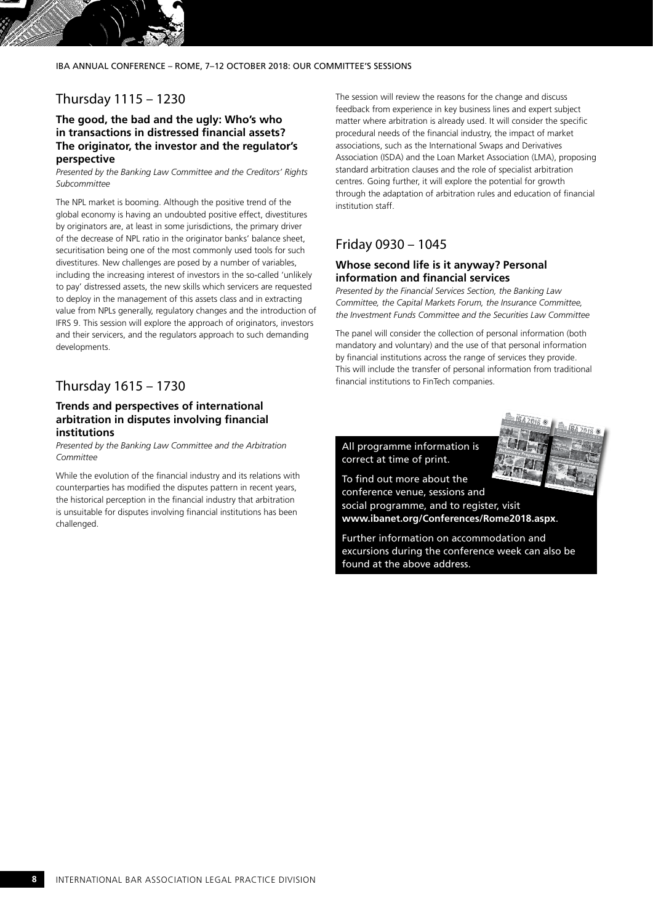IBA ANNUAL CONFERENCE – ROME, 7–12 OCTOBER 2018: OUR COMMITTEE'S SESSIONS

# Thursday 1115 – 1230

## **The good, the bad and the ugly: Who's who in transactions in distressed financial assets? The originator, the investor and the regulator's perspective**

*Presented by the Banking Law Committee and the Creditors' Rights Subcommittee*

The NPL market is booming. Although the positive trend of the global economy is having an undoubted positive effect, divestitures by originators are, at least in some jurisdictions, the primary driver of the decrease of NPL ratio in the originator banks' balance sheet, securitisation being one of the most commonly used tools for such divestitures. New challenges are posed by a number of variables, including the increasing interest of investors in the so-called 'unlikely to pay' distressed assets, the new skills which servicers are requested to deploy in the management of this assets class and in extracting value from NPLs generally, regulatory changes and the introduction of IFRS 9. This session will explore the approach of originators, investors and their servicers, and the regulators approach to such demanding developments.

# Thursday 1615 – 1730

## **Trends and perspectives of international arbitration in disputes involving financial institutions**

*Presented by the Banking Law Committee and the Arbitration Committee*

While the evolution of the financial industry and its relations with counterparties has modified the disputes pattern in recent years, the historical perception in the financial industry that arbitration is unsuitable for disputes involving financial institutions has been challenged.

The session will review the reasons for the change and discuss feedback from experience in key business lines and expert subject matter where arbitration is already used. It will consider the specific procedural needs of the financial industry, the impact of market associations, such as the International Swaps and Derivatives Association (ISDA) and the Loan Market Association (LMA), proposing standard arbitration clauses and the role of specialist arbitration centres. Going further, it will explore the potential for growth through the adaptation of arbitration rules and education of financial institution staff.

# Friday 0930 – 1045

### **Whose second life is it anyway? Personal information and financial services**

*Presented by the Financial Services Section, the Banking Law Committee, the Capital Markets Forum, the Insurance Committee, the Investment Funds Committee and the Securities Law Committee*

The panel will consider the collection of personal information (both mandatory and voluntary) and the use of that personal information by financial institutions across the range of services they provide. This will include the transfer of personal information from traditional financial institutions to FinTech companies.



All programme information is correct at time of print.

To find out more about the conference venue, sessions and social programme, and to register, visit **www.ibanet.org/Conferences/Rome2018.aspx**.

Further information on accommodation and excursions during the conference week can also be found at the above address.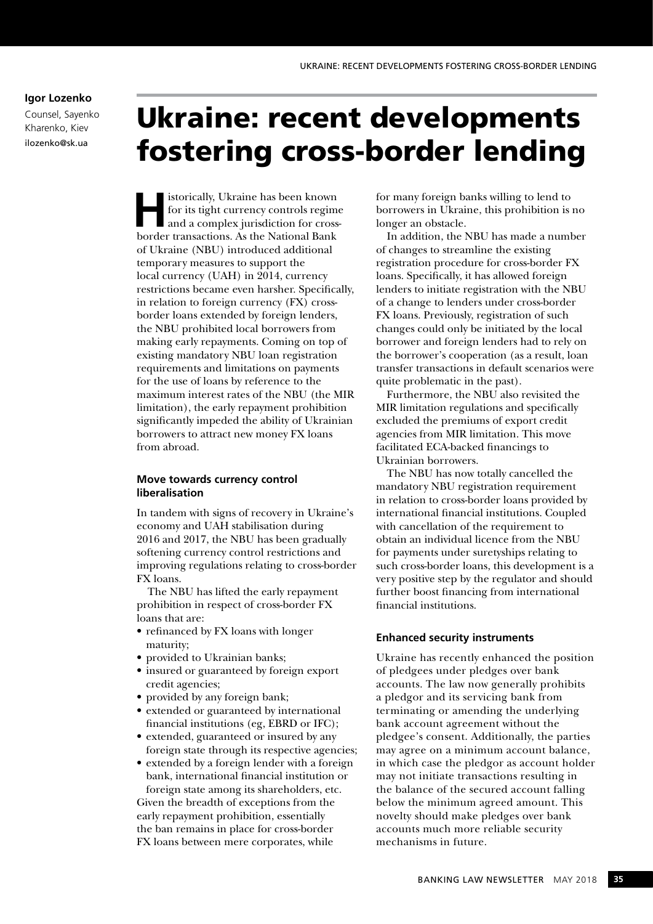# **Igor Lozenko**

Counsel, Sayenko Kharenko, Kiev ilozenko@sk.ua

# Ukraine: recent developments fostering cross-border lending

**Historically, Ukraine has been known<br>
for its tight currency controls regime<br>
and a complex jurisdiction for cross-<br>
borden transactions, As the National Bank** for its tight currency controls regime border transactions. As the National Bank of Ukraine (NBU) introduced additional temporary measures to support the local currency (UAH) in 2014, currency restrictions became even harsher. Specifically, in relation to foreign currency (FX) crossborder loans extended by foreign lenders, the NBU prohibited local borrowers from making early repayments. Coming on top of existing mandatory NBU loan registration requirements and limitations on payments for the use of loans by reference to the maximum interest rates of the NBU (the MIR limitation), the early repayment prohibition significantly impeded the ability of Ukrainian borrowers to attract new money FX loans from abroad.

# **Move towards currency control liberalisation**

In tandem with signs of recovery in Ukraine's economy and UAH stabilisation during 2016 and 2017, the NBU has been gradually softening currency control restrictions and improving regulations relating to cross-border FX loans.

The NBU has lifted the early repayment prohibition in respect of cross-border FX loans that are:

- refinanced by FX loans with longer maturity;
- provided to Ukrainian banks;
- insured or guaranteed by foreign export credit agencies;
- provided by any foreign bank;
- extended or guaranteed by international financial institutions (eg, EBRD or IFC);
- extended, guaranteed or insured by any foreign state through its respective agencies;
- extended by a foreign lender with a foreign bank, international financial institution or

foreign state among its shareholders, etc. Given the breadth of exceptions from the early repayment prohibition, essentially the ban remains in place for cross-border FX loans between mere corporates, while

for many foreign banks willing to lend to borrowers in Ukraine, this prohibition is no longer an obstacle.

In addition, the NBU has made a number of changes to streamline the existing registration procedure for cross-border FX loans. Specifically, it has allowed foreign lenders to initiate registration with the NBU of a change to lenders under cross-border FX loans. Previously, registration of such changes could only be initiated by the local borrower and foreign lenders had to rely on the borrower's cooperation (as a result, loan transfer transactions in default scenarios were quite problematic in the past).

Furthermore, the NBU also revisited the MIR limitation regulations and specifically excluded the premiums of export credit agencies from MIR limitation. This move facilitated ECA-backed financings to Ukrainian borrowers.

The NBU has now totally cancelled the mandatory NBU registration requirement in relation to cross-border loans provided by international financial institutions. Coupled with cancellation of the requirement to obtain an individual licence from the NBU for payments under suretyships relating to such cross-border loans, this development is a very positive step by the regulator and should further boost financing from international financial institutions.

## **Enhanced security instruments**

Ukraine has recently enhanced the position of pledgees under pledges over bank accounts. The law now generally prohibits a pledgor and its servicing bank from terminating or amending the underlying bank account agreement without the pledgee's consent. Additionally, the parties may agree on a minimum account balance, in which case the pledgor as account holder may not initiate transactions resulting in the balance of the secured account falling below the minimum agreed amount. This novelty should make pledges over bank accounts much more reliable security mechanisms in future.